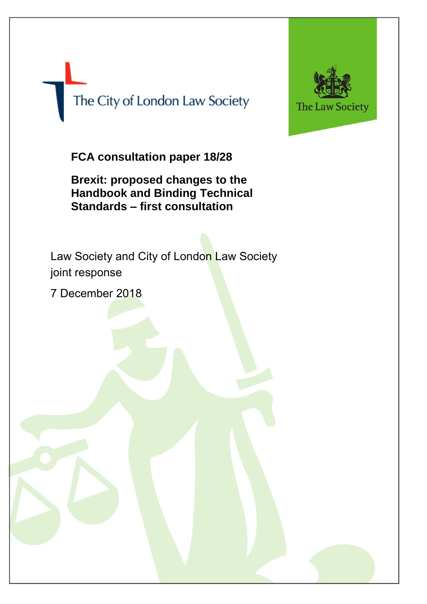The City of London Law Society



**FCA consultation paper 18/28**

**Brexit: proposed changes to the Handbook and Binding Technical Standards – first consultation**

Law Society and City of London Law Society joint response

7 December 2018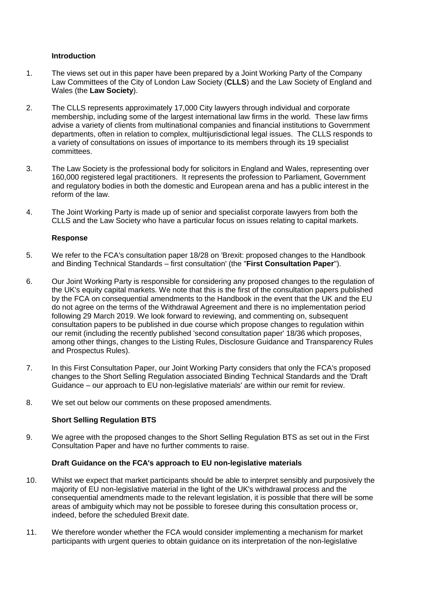## **Introduction**

- 1. The views set out in this paper have been prepared by a Joint Working Party of the Company Law Committees of the City of London Law Society (**CLLS**) and the Law Society of England and Wales (the **Law Society**).
- 2. The CLLS represents approximately 17,000 City lawyers through individual and corporate membership, including some of the largest international law firms in the world. These law firms advise a variety of clients from multinational companies and financial institutions to Government departments, often in relation to complex, multijurisdictional legal issues. The CLLS responds to a variety of consultations on issues of importance to its members through its 19 specialist committees.
- 3. The Law Society is the professional body for solicitors in England and Wales, representing over 160,000 registered legal practitioners. It represents the profession to Parliament, Government and regulatory bodies in both the domestic and European arena and has a public interest in the reform of the law.
- 4. The Joint Working Party is made up of senior and specialist corporate lawyers from both the CLLS and the Law Society who have a particular focus on issues relating to capital markets.

# **Response**

- 5. We refer to the FCA's consultation paper 18/28 on 'Brexit: proposed changes to the Handbook and Binding Technical Standards – first consultation' (the "**First Consultation Paper**").
- 6. Our Joint Working Party is responsible for considering any proposed changes to the regulation of the UK's equity capital markets. We note that this is the first of the consultation papers published by the FCA on consequential amendments to the Handbook in the event that the UK and the EU do not agree on the terms of the Withdrawal Agreement and there is no implementation period following 29 March 2019. We look forward to reviewing, and commenting on, subsequent consultation papers to be published in due course which propose changes to regulation within our remit (including the recently published 'second consultation paper' 18/36 which proposes, among other things, changes to the Listing Rules, Disclosure Guidance and Transparency Rules and Prospectus Rules).
- 7. In this First Consultation Paper, our Joint Working Party considers that only the FCA's proposed changes to the Short Selling Regulation associated Binding Technical Standards and the 'Draft Guidance – our approach to EU non-legislative materials' are within our remit for review.
- 8. We set out below our comments on these proposed amendments.

## **Short Selling Regulation BTS**

9. We agree with the proposed changes to the Short Selling Regulation BTS as set out in the First Consultation Paper and have no further comments to raise.

## **Draft Guidance on the FCA's approach to EU non-legislative materials**

- 10. Whilst we expect that market participants should be able to interpret sensibly and purposively the majority of EU non-legislative material in the light of the UK's withdrawal process and the consequential amendments made to the relevant legislation, it is possible that there will be some areas of ambiguity which may not be possible to foresee during this consultation process or, indeed, before the scheduled Brexit date.
- 11. We therefore wonder whether the FCA would consider implementing a mechanism for market participants with urgent queries to obtain guidance on its interpretation of the non-legislative